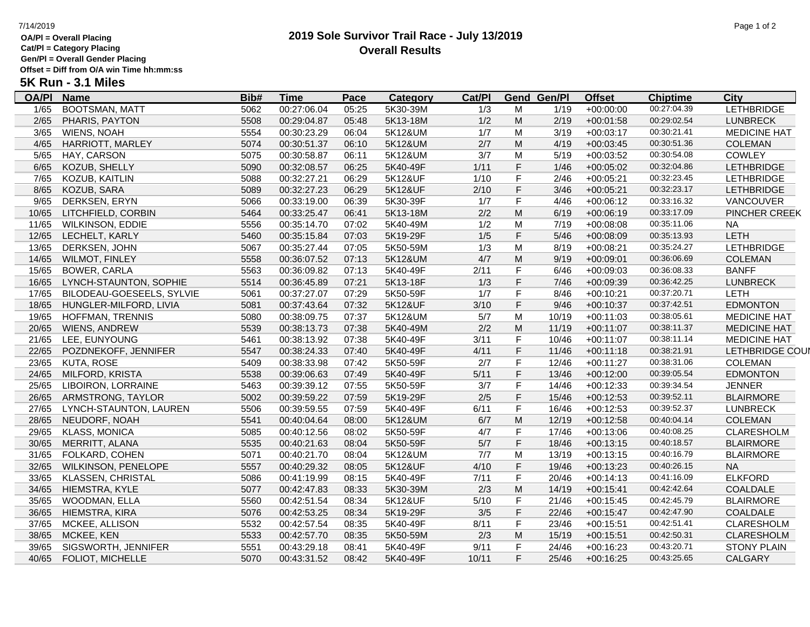## **OA/Pl = Overall Placing**

**Cat/Pl = Category Placing**

**Gen/Pl = Overall Gender Placing Offset = Diff from O/A win Time hh:mm:ss**

**5K Run - 3.1 Miles**

| <b>OA/PI</b> | <b>Name</b>               | Bib# | <u>Time</u> | <b>Pace</b> | Category | Cat/PI |           | <b>Gend Gen/Pl</b> | <b>Offset</b> | <b>Chiptime</b> | City                   |
|--------------|---------------------------|------|-------------|-------------|----------|--------|-----------|--------------------|---------------|-----------------|------------------------|
| 1/65         | <b>BOOTSMAN, MATT</b>     | 5062 | 00:27:06.04 | 05:25       | 5K30-39M | 1/3    | М         | 1/19               | $+00:00:00$   | 00:27:04.39     | <b>LETHBRIDGE</b>      |
| 2/65         | PHARIS, PAYTON            | 5508 | 00:29:04.87 | 05:48       | 5K13-18M | 1/2    | M         | 2/19               | $+00:01:58$   | 00:29:02.54     | <b>LUNBRECK</b>        |
| 3/65         | <b>WIENS, NOAH</b>        | 5554 | 00:30:23.29 | 06:04       | 5K12&UM  | 1/7    | M         | 3/19               | $+00:03:17$   | 00:30:21.41     | <b>MEDICINE HAT</b>    |
| 4/65         | HARRIOTT, MARLEY          | 5074 | 00:30:51.37 | 06:10       | 5K12&UM  | 2/7    | M         | 4/19               | $+00:03:45$   | 00:30:51.36     | <b>COLEMAN</b>         |
| 5/65         | HAY, CARSON               | 5075 | 00:30:58.87 | 06:11       | 5K12&UM  | 3/7    | M         | 5/19               | $+00:03:52$   | 00:30:54.08     | <b>COWLEY</b>          |
| 6/65         | KOZUB, SHELLY             | 5090 | 00:32:08.57 | 06:25       | 5K40-49F | 1/11   | F         | 1/46               | $+00:05:02$   | 00:32:04.86     | <b>LETHBRIDGE</b>      |
| 7/65         | KOZUB, KAITLIN            | 5088 | 00:32:27.21 | 06:29       | 5K12&UF  | 1/10   | F         | 2/46               | $+00:05:21$   | 00:32:23.45     | <b>LETHBRIDGE</b>      |
| 8/65         | KOZUB, SARA               | 5089 | 00:32:27.23 | 06:29       | 5K12&UF  | 2/10   | F         | 3/46               | $+00:05:21$   | 00:32:23.17     | <b>LETHBRIDGE</b>      |
| 9/65         | DERKSEN, ERYN             | 5066 | 00:33:19.00 | 06:39       | 5K30-39F | 1/7    | F         | 4/46               | $+00:06:12$   | 00:33:16.32     | VANCOUVER              |
| 10/65        | LITCHFIELD, CORBIN        | 5464 | 00:33:25.47 | 06:41       | 5K13-18M | 2/2    | M         | 6/19               | $+00:06:19$   | 00:33:17.09     | PINCHER CREEK          |
| 11/65        | <b>WILKINSON, EDDIE</b>   | 5556 | 00:35:14.70 | 07:02       | 5K40-49M | 1/2    | M         | 7/19               | $+00:08:08$   | 00:35:11.06     | NA.                    |
| 12/65        | LECHELT, KARLY            | 5460 | 00:35:15.84 | 07:03       | 5K19-29F | 1/5    | F         | $5/46$             | $+00:08:09$   | 00:35:13.93     | LETH                   |
| 13/65        | DERKSEN, JOHN             | 5067 | 00:35:27.44 | 07:05       | 5K50-59M | 1/3    | M         | 8/19               | $+00:08:21$   | 00:35:24.27     | <b>LETHBRIDGE</b>      |
| 14/65        | <b>WILMOT, FINLEY</b>     | 5558 | 00:36:07.52 | 07:13       | 5K12&UM  | 4/7    | M         | 9/19               | $+00:09:01$   | 00:36:06.69     | <b>COLEMAN</b>         |
| 15/65        | <b>BOWER, CARLA</b>       | 5563 | 00:36:09.82 | 07:13       | 5K40-49F | 2/11   | F         | 6/46               | $+00:09:03$   | 00:36:08.33     | <b>BANFF</b>           |
| 16/65        | LYNCH-STAUNTON, SOPHIE    | 5514 | 00:36:45.89 | 07:21       | 5K13-18F | 1/3    | F         | 7/46               | $+00:09:39$   | 00:36:42.25     | <b>LUNBRECK</b>        |
| 17/65        | BILODEAU-GOESEELS, SYLVIE | 5061 | 00:37:27.07 | 07:29       | 5K50-59F | 1/7    | F         | 8/46               | $+00:10:21$   | 00:37:20.71     | LETH                   |
| 18/65        | HUNGLER-MILFORD, LIVIA    | 5081 | 00:37:43.64 | 07:32       | 5K12&UF  | 3/10   | F         | 9/46               | $+00:10:37$   | 00:37:42.51     | <b>EDMONTON</b>        |
| 19/65        | HOFFMAN, TRENNIS          | 5080 | 00:38:09.75 | 07:37       | 5K12&UM  | 5/7    | M         | 10/19              | $+00:11:03$   | 00:38:05.61     | <b>MEDICINE HAT</b>    |
| 20/65        | WIENS, ANDREW             | 5539 | 00:38:13.73 | 07:38       | 5K40-49M | 2/2    | M         | 11/19              | $+00:11:07$   | 00:38:11.37     | <b>MEDICINE HAT</b>    |
| 21/65        | LEE, EUNYOUNG             | 5461 | 00:38:13.92 | 07:38       | 5K40-49F | 3/11   | F         | 10/46              | $+00:11:07$   | 00:38:11.14     | <b>MEDICINE HAT</b>    |
| 22/65        | POZDNEKOFF, JENNIFER      | 5547 | 00:38:24.33 | 07:40       | 5K40-49F | 4/11   | F         | 11/46              | $+00:11:18$   | 00:38:21.91     | <b>LETHBRIDGE COUN</b> |
| 23/65        | <b>KUTA, ROSE</b>         | 5409 | 00:38:33.98 | 07:42       | 5K50-59F | 2/7    | F         | 12/46              | $+00:11:27$   | 00:38:31.06     | <b>COLEMAN</b>         |
| 24/65        | MILFORD, KRISTA           | 5538 | 00:39:06.63 | 07:49       | 5K40-49F | 5/11   | F         | 13/46              | $+00:12:00$   | 00:39:05.54     | <b>EDMONTON</b>        |
| 25/65        | LIBOIRON, LORRAINE        | 5463 | 00:39:39.12 | 07:55       | 5K50-59F | 3/7    | F         | 14/46              | $+00:12:33$   | 00:39:34.54     | <b>JENNER</b>          |
| 26/65        | ARMSTRONG, TAYLOR         | 5002 | 00:39:59.22 | 07:59       | 5K19-29F | 2/5    | F         | 15/46              | $+00:12:53$   | 00:39:52.11     | <b>BLAIRMORE</b>       |
| 27/65        | LYNCH-STAUNTON, LAUREN    | 5506 | 00:39:59.55 | 07:59       | 5K40-49F | 6/11   | F         | 16/46              | $+00:12:53$   | 00:39:52.37     | <b>LUNBRECK</b>        |
| 28/65        | NEUDORF, NOAH             | 5541 | 00:40:04.64 | 08:00       | 5K12&UM  | 6/7    | M         | 12/19              | $+00:12:58$   | 00:40:04.14     | <b>COLEMAN</b>         |
| 29/65        | <b>KLASS, MONICA</b>      | 5085 | 00:40:12.56 | 08:02       | 5K50-59F | 4/7    | F         | 17/46              | $+00:13:06$   | 00:40:08.25     | CLARESHOLM             |
| 30/65        | MERRITT, ALANA            | 5535 | 00:40:21.63 | 08:04       | 5K50-59F | 5/7    | F         | 18/46              | $+00:13:15$   | 00:40:18.57     | <b>BLAIRMORE</b>       |
| 31/65        | FOLKARD, COHEN            | 5071 | 00:40:21.70 | 08:04       | 5K12&UM  | 7/7    | М         | 13/19              | $+00:13:15$   | 00:40:16.79     | <b>BLAIRMORE</b>       |
| 32/65        | WILKINSON, PENELOPE       | 5557 | 00:40:29.32 | 08:05       | 5K12&UF  | 4/10   | F         | 19/46              | $+00:13:23$   | 00:40:26.15     | <b>NA</b>              |
| 33/65        | KLASSEN, CHRISTAL         | 5086 | 00:41:19.99 | 08:15       | 5K40-49F | 7/11   | F         | 20/46              | $+00:14:13$   | 00:41:16.09     | <b>ELKFORD</b>         |
| 34/65        | HIEMSTRA, KYLE            | 5077 | 00:42:47.83 | 08:33       | 5K30-39M | 2/3    | ${\sf M}$ | 14/19              | $+00:15:41$   | 00:42:42.64     | COALDALE               |
| 35/65        | <b>WOODMAN, ELLA</b>      | 5560 | 00:42:51.54 | 08:34       | 5K12&UF  | 5/10   | F         | 21/46              | $+00:15:45$   | 00:42:45.79     | <b>BLAIRMORE</b>       |
| 36/65        | HIEMSTRA, KIRA            | 5076 | 00:42:53.25 | 08:34       | 5K19-29F | 3/5    | F         | 22/46              | $+00:15:47$   | 00:42:47.90     | COALDALE               |
| 37/65        | MCKEE, ALLISON            | 5532 | 00:42:57.54 | 08:35       | 5K40-49F | 8/11   | F         | 23/46              | $+00:15:51$   | 00:42:51.41     | <b>CLARESHOLM</b>      |
| 38/65        | MCKEE, KEN                | 5533 | 00:42:57.70 | 08:35       | 5K50-59M | 2/3    | M         | 15/19              | $+00:15:51$   | 00:42:50.31     | <b>CLARESHOLM</b>      |
| 39/65        | SIGSWORTH, JENNIFER       | 5551 | 00:43:29.18 | 08:41       | 5K40-49F | 9/11   | F         | 24/46              | $+00:16:23$   | 00:43:20.71     | <b>STONY PLAIN</b>     |
| 40/65        | FOLIOT, MICHELLE          | 5070 | 00:43:31.52 | 08:42       | 5K40-49F | 10/11  | F.        | 25/46              | $+00:16:25$   | 00:43:25.65     | <b>CALGARY</b>         |

### **2019 Sole Survivor Trail Race - July 13/2019 Overall Results**